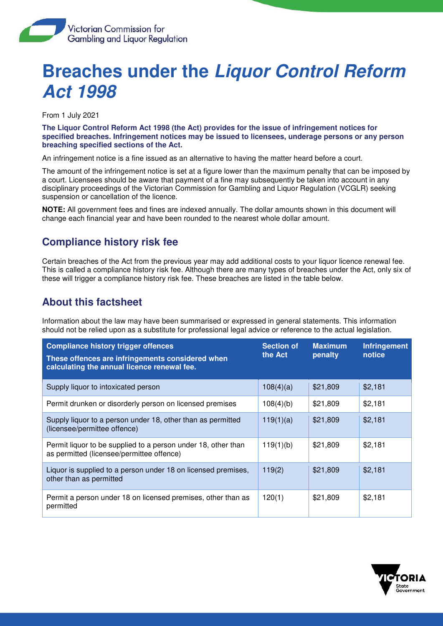

## **Breaches under the Liquor Control Reform Act 1998**

From 1 July 2021

**The Liquor Control Reform Act 1998 (the Act) provides for the issue of infringement notices for specified breaches. Infringement notices may be issued to licensees, underage persons or any person breaching specified sections of the Act.** 

An infringement notice is a fine issued as an alternative to having the matter heard before a court.

The amount of the infringement notice is set at a figure lower than the maximum penalty that can be imposed by a court. Licensees should be aware that payment of a fine may subsequently be taken into account in any disciplinary proceedings of the Victorian Commission for Gambling and Liquor Regulation (VCGLR) seeking suspension or cancellation of the licence.

**NOTE:** All government fees and fines are indexed annually. The dollar amounts shown in this document will change each financial year and have been rounded to the nearest whole dollar amount.

## **Compliance history risk fee**

Certain breaches of the Act from the previous year may add additional costs to your liquor licence renewal fee. This is called a compliance history risk fee. Although there are many types of breaches under the Act, only six of these will trigger a compliance history risk fee. These breaches are listed in the table below.

## **About this factsheet**

Information about the law may have been summarised or expressed in general statements. This information should not be relied upon as a substitute for professional legal advice or reference to the actual legislation.

| <b>Compliance history trigger offences</b><br>These offences are infringements considered when<br>calculating the annual licence renewal fee. | <b>Section of</b><br>the Act | <b>Maximum</b><br>penalty | <b>Infringement</b><br>notice |
|-----------------------------------------------------------------------------------------------------------------------------------------------|------------------------------|---------------------------|-------------------------------|
| Supply liquor to intoxicated person                                                                                                           | 108(4)(a)                    | \$21,809                  | \$2,181                       |
| Permit drunken or disorderly person on licensed premises                                                                                      | 108(4)(b)                    | \$21,809                  | \$2,181                       |
| Supply liquor to a person under 18, other than as permitted<br>(licensee/permittee offence)                                                   | 119(1)(a)                    | \$21,809                  | \$2,181                       |
| Permit liquor to be supplied to a person under 18, other than<br>as permitted (licensee/permittee offence)                                    | 119(1)(b)                    | \$21,809                  | \$2,181                       |
| Liquor is supplied to a person under 18 on licensed premises,<br>other than as permitted                                                      | 119(2)                       | \$21,809                  | \$2,181                       |
| Permit a person under 18 on licensed premises, other than as<br>permitted                                                                     | 120(1)                       | \$21,809                  | \$2,181                       |

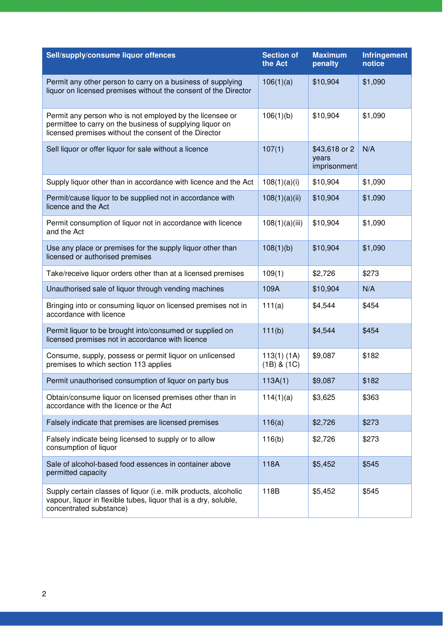| Sell/supply/consume liquor offences                                                                                                                                            | <b>Section of</b><br>the Act     | <b>Maximum</b><br>penalty              | Infringement<br>notice |
|--------------------------------------------------------------------------------------------------------------------------------------------------------------------------------|----------------------------------|----------------------------------------|------------------------|
| Permit any other person to carry on a business of supplying<br>liquor on licensed premises without the consent of the Director                                                 | 106(1)(a)                        | \$10,904                               | \$1,090                |
| Permit any person who is not employed by the licensee or<br>permittee to carry on the business of supplying liquor on<br>licensed premises without the consent of the Director | 106(1)(b)                        | \$10,904                               | \$1,090                |
| Sell liquor or offer liquor for sale without a licence                                                                                                                         | 107(1)                           | \$43,618 or 2<br>years<br>imprisonment | N/A                    |
| Supply liquor other than in accordance with licence and the Act                                                                                                                | 108(1)(a)(i)                     | \$10,904                               | \$1,090                |
| Permit/cause liquor to be supplied not in accordance with<br>licence and the Act                                                                                               | 108(1)(a)(ii)                    | \$10,904                               | \$1,090                |
| Permit consumption of liquor not in accordance with licence<br>and the Act                                                                                                     | 108(1)(a)(iii)                   | \$10,904                               | \$1,090                |
| Use any place or premises for the supply liquor other than<br>licensed or authorised premises                                                                                  | 108(1)(b)                        | \$10,904                               | \$1,090                |
| Take/receive liquor orders other than at a licensed premises                                                                                                                   | 109(1)                           | \$2,726                                | \$273                  |
| Unauthorised sale of liquor through vending machines                                                                                                                           | 109A                             | \$10,904                               | N/A                    |
| Bringing into or consuming liquor on licensed premises not in<br>accordance with licence                                                                                       | 111(a)                           | \$4,544                                | \$454                  |
| Permit liquor to be brought into/consumed or supplied on<br>licensed premises not in accordance with licence                                                                   | 111(b)                           | \$4,544                                | \$454                  |
| Consume, supply, possess or permit liquor on unlicensed<br>premises to which section 113 applies                                                                               | $113(1)$ (1A)<br>$(1B)$ & $(1C)$ | \$9,087                                | \$182                  |
| Permit unauthorised consumption of liquor on party bus                                                                                                                         | 113A(1)                          | \$9,087                                | \$182                  |
| Obtain/consume liquor on licensed premises other than in<br>accordance with the licence or the Act                                                                             | 114(1)(a)                        | \$3,625                                | \$363                  |
| Falsely indicate that premises are licensed premises                                                                                                                           | 116(a)                           | \$2,726                                | \$273                  |
| Falsely indicate being licensed to supply or to allow<br>consumption of liquor                                                                                                 | 116(b)                           | \$2,726                                | \$273                  |
| Sale of alcohol-based food essences in container above<br>permitted capacity                                                                                                   | 118A                             | \$5,452                                | \$545                  |
| Supply certain classes of liquor (i.e. milk products, alcoholic<br>vapour, liquor in flexible tubes, liquor that is a dry, soluble,<br>concentrated substance)                 | 118B                             | \$5,452                                | \$545                  |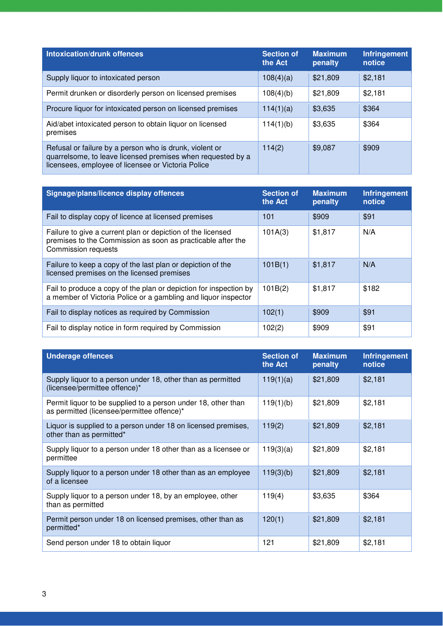| <b>Intoxication/drunk offences</b>                                                                                                                                           | <b>Section of</b><br>the Act | <b>Maximum</b><br>penalty | <b>Infringement</b><br>notice |
|------------------------------------------------------------------------------------------------------------------------------------------------------------------------------|------------------------------|---------------------------|-------------------------------|
| Supply liquor to intoxicated person                                                                                                                                          | 108(4)(a)                    | \$21,809                  | \$2,181                       |
| Permit drunken or disorderly person on licensed premises                                                                                                                     | 108(4)(b)                    | \$21,809                  | \$2,181                       |
| Procure liquor for intoxicated person on licensed premises                                                                                                                   | 114(1)(a)                    | \$3,635                   | \$364                         |
| Aid/abet intoxicated person to obtain liquor on licensed<br>premises                                                                                                         | 114(1)(b)                    | \$3,635                   | \$364                         |
| Refusal or failure by a person who is drunk, violent or<br>quarrelsome, to leave licensed premises when requested by a<br>licensees, employee of licensee or Victoria Police | 114(2)                       | \$9,087                   | \$909                         |

| Signage/plans/licence display offences                                                                                                                   | <b>Section of</b><br>the Act | <b>Maximum</b><br>penalty | <b>Infringement</b><br>notice |
|----------------------------------------------------------------------------------------------------------------------------------------------------------|------------------------------|---------------------------|-------------------------------|
| Fail to display copy of licence at licensed premises                                                                                                     | 101                          | \$909                     | \$91                          |
| Failure to give a current plan or depiction of the licensed<br>premises to the Commission as soon as practicable after the<br><b>Commission requests</b> | 101A(3)                      | \$1,817                   | N/A                           |
| Failure to keep a copy of the last plan or depiction of the<br>licensed premises on the licensed premises                                                | 101B(1)                      | \$1,817                   | N/A                           |
| Fail to produce a copy of the plan or depiction for inspection by<br>a member of Victoria Police or a gambling and liquor inspector                      | 101B(2)                      | \$1,817                   | \$182                         |
| Fail to display notices as required by Commission                                                                                                        | 102(1)                       | \$909                     | \$91                          |
| Fail to display notice in form required by Commission                                                                                                    | 102(2)                       | \$909                     | \$91                          |

| <b>Underage offences</b>                                                                                    | <b>Section of</b><br>the Act | <b>Maximum</b><br>penalty | <b>Infringement</b><br>notice |
|-------------------------------------------------------------------------------------------------------------|------------------------------|---------------------------|-------------------------------|
| Supply liquor to a person under 18, other than as permitted<br>(licensee/permittee offence)*                | 119(1)(a)                    | \$21,809                  | \$2,181                       |
| Permit liquor to be supplied to a person under 18, other than<br>as permitted (licensee/permittee offence)* | 119(1)(b)                    | \$21,809                  | \$2,181                       |
| Liquor is supplied to a person under 18 on licensed premises,<br>other than as permitted*                   | 119(2)                       | \$21,809                  | \$2,181                       |
| Supply liquor to a person under 18 other than as a licensee or<br>permittee                                 | 119(3)(a)                    | \$21,809                  | \$2,181                       |
| Supply liquor to a person under 18 other than as an employee<br>of a licensee                               | 119(3)(b)                    | \$21,809                  | \$2,181                       |
| Supply liquor to a person under 18, by an employee, other<br>than as permitted                              | 119(4)                       | \$3,635                   | \$364                         |
| Permit person under 18 on licensed premises, other than as<br>permitted*                                    | 120(1)                       | \$21,809                  | \$2,181                       |
| Send person under 18 to obtain liquor                                                                       | 121                          | \$21,809                  | \$2,181                       |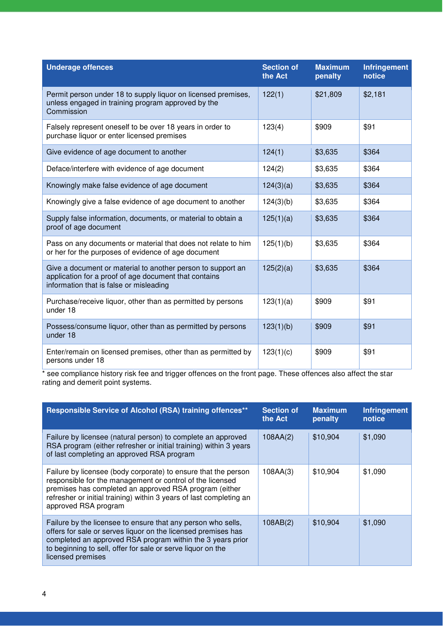| <b>Underage offences</b>                                                                                                                                        | <b>Section of</b><br>the Act | <b>Maximum</b><br>penalty | <b>Infringement</b><br>notice |
|-----------------------------------------------------------------------------------------------------------------------------------------------------------------|------------------------------|---------------------------|-------------------------------|
| Permit person under 18 to supply liquor on licensed premises,<br>unless engaged in training program approved by the<br>Commission                               | 122(1)                       | \$21,809                  | \$2,181                       |
| Falsely represent oneself to be over 18 years in order to<br>purchase liquor or enter licensed premises                                                         | 123(4)                       | \$909                     | \$91                          |
| Give evidence of age document to another                                                                                                                        | 124(1)                       | \$3,635                   | \$364                         |
| Deface/interfere with evidence of age document                                                                                                                  | 124(2)                       | \$3,635                   | \$364                         |
| Knowingly make false evidence of age document                                                                                                                   | 124(3)(a)                    | \$3,635                   | \$364                         |
| Knowingly give a false evidence of age document to another                                                                                                      | 124(3)(b)                    | \$3,635                   | \$364                         |
| Supply false information, documents, or material to obtain a<br>proof of age document                                                                           | 125(1)(a)                    | \$3,635                   | \$364                         |
| Pass on any documents or material that does not relate to him<br>or her for the purposes of evidence of age document                                            | 125(1)(b)                    | \$3,635                   | \$364                         |
| Give a document or material to another person to support an<br>application for a proof of age document that contains<br>information that is false or misleading | 125(2)(a)                    | \$3,635                   | \$364                         |
| Purchase/receive liquor, other than as permitted by persons<br>under 18                                                                                         | 123(1)(a)                    | \$909                     | \$91                          |
| Possess/consume liquor, other than as permitted by persons<br>under 18                                                                                          | 123(1)(b)                    | \$909                     | \$91                          |
| Enter/remain on licensed premises, other than as permitted by<br>persons under 18                                                                               | 123(1)(c)                    | \$909                     | \$91                          |

\* see compliance history risk fee and trigger offences on the front page. These offences also affect the star rating and demerit point systems.

| Responsible Service of Alcohol (RSA) training offences**                                                                                                                                                                                                                             | <b>Section of</b><br>the Act | <b>Maximum</b><br>penalty | <b>Infringement</b><br>notice |
|--------------------------------------------------------------------------------------------------------------------------------------------------------------------------------------------------------------------------------------------------------------------------------------|------------------------------|---------------------------|-------------------------------|
| Failure by licensee (natural person) to complete an approved<br>RSA program (either refresher or initial training) within 3 years<br>of last completing an approved RSA program                                                                                                      | 108AA(2)                     | \$10,904                  | \$1,090                       |
| Failure by licensee (body corporate) to ensure that the person<br>responsible for the management or control of the licensed<br>premises has completed an approved RSA program (either<br>refresher or initial training) within 3 years of last completing an<br>approved RSA program | 108AA(3)                     | \$10,904                  | \$1,090                       |
| Failure by the licensee to ensure that any person who sells,<br>offers for sale or serves liquor on the licensed premises has<br>completed an approved RSA program within the 3 years prior<br>to beginning to sell, offer for sale or serve liquor on the<br>licensed premises      | 108AB(2)                     | \$10,904                  | \$1,090                       |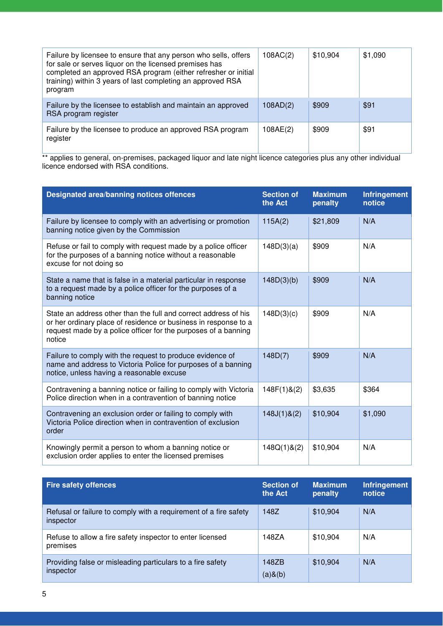| Failure by licensee to ensure that any person who sells, offers<br>for sale or serves liquor on the licensed premises has<br>completed an approved RSA program (either refresher or initial<br>training) within 3 years of last completing an approved RSA<br>program | 108AC(2) | \$10,904 | \$1,090 |
|-----------------------------------------------------------------------------------------------------------------------------------------------------------------------------------------------------------------------------------------------------------------------|----------|----------|---------|
| Failure by the licensee to establish and maintain an approved<br>RSA program register                                                                                                                                                                                 | 108AD(2) | \$909    | \$91    |
| Failure by the licensee to produce an approved RSA program<br>register                                                                                                                                                                                                | 108AE(2) | \$909    | \$91    |

\*\* applies to general, on-premises, packaged liquor and late night licence categories plus any other individual licence endorsed with RSA conditions.

| <b>Designated area/banning notices offences</b>                                                                                                                                                                | <b>Section of</b><br>the Act | <b>Maximum</b><br>penalty | <b>Infringement</b><br>notice |
|----------------------------------------------------------------------------------------------------------------------------------------------------------------------------------------------------------------|------------------------------|---------------------------|-------------------------------|
| Failure by licensee to comply with an advertising or promotion<br>banning notice given by the Commission                                                                                                       | 115A(2)                      | \$21,809                  | N/A                           |
| Refuse or fail to comply with request made by a police officer<br>for the purposes of a banning notice without a reasonable<br>excuse for not doing so                                                         | 148D(3)(a)                   | \$909                     | N/A                           |
| State a name that is false in a material particular in response<br>to a request made by a police officer for the purposes of a<br>banning notice                                                               | 148D(3)(b)                   | \$909                     | N/A                           |
| State an address other than the full and correct address of his<br>or her ordinary place of residence or business in response to a<br>request made by a police officer for the purposes of a banning<br>notice | 148D(3)(c)                   | \$909                     | N/A                           |
| Failure to comply with the request to produce evidence of<br>name and address to Victoria Police for purposes of a banning<br>notice, unless having a reasonable excuse                                        | 148D(7)                      | \$909                     | N/A                           |
| Contravening a banning notice or failing to comply with Victoria<br>Police direction when in a contravention of banning notice                                                                                 | 148F(1)8(2)                  | \$3,635                   | \$364                         |
| Contravening an exclusion order or failing to comply with<br>Victoria Police direction when in contravention of exclusion<br>order                                                                             | $148J(1)$ &(2)               | \$10,904                  | \$1,090                       |
| Knowingly permit a person to whom a banning notice or<br>exclusion order applies to enter the licensed premises                                                                                                | 148Q(1)8(2)                  | \$10,904                  | N/A                           |

| <b>Fire safety offences</b>                                                   | <b>Section of</b><br>the Act | <b>Maximum</b><br>penalty | <b>Infringement</b><br>notice |
|-------------------------------------------------------------------------------|------------------------------|---------------------------|-------------------------------|
| Refusal or failure to comply with a requirement of a fire safety<br>inspector | 148Z                         | \$10,904                  | N/A                           |
| Refuse to allow a fire safety inspector to enter licensed<br>premises         | 148ZA                        | \$10,904                  | N/A                           |
| Providing false or misleading particulars to a fire safety<br>inspector       | 148ZB<br>$(a)$ & $(b)$       | \$10,904                  | N/A                           |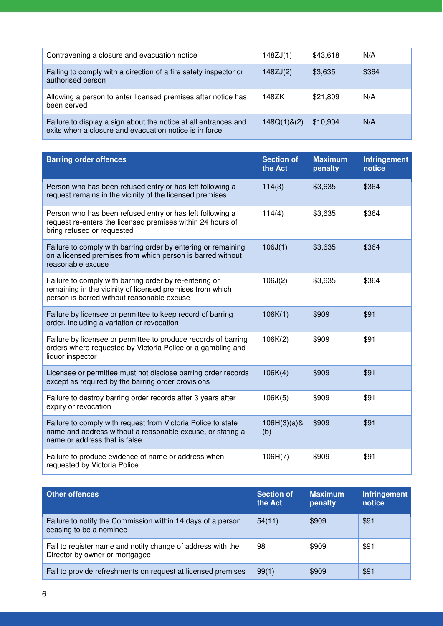| Contravening a closure and evacuation notice                                                                              | 148ZJ(1)    | \$43,618 | N/A   |
|---------------------------------------------------------------------------------------------------------------------------|-------------|----------|-------|
| Failing to comply with a direction of a fire safety inspector or<br>authorised person                                     | 148ZJ(2)    | \$3,635  | \$364 |
| Allowing a person to enter licensed premises after notice has<br>been served                                              | 148ZK       | \$21,809 | N/A   |
| Failure to display a sign about the notice at all entrances and<br>exits when a closure and evacuation notice is in force | 148Q(1)8(2) | \$10,904 | N/A   |

| <b>Barring order offences</b>                                                                                                                                     | <b>Section of</b><br>the Act | <b>Maximum</b><br>penalty | Infringement<br>notice |
|-------------------------------------------------------------------------------------------------------------------------------------------------------------------|------------------------------|---------------------------|------------------------|
| Person who has been refused entry or has left following a<br>request remains in the vicinity of the licensed premises                                             | 114(3)                       | \$3,635                   | \$364                  |
| Person who has been refused entry or has left following a<br>request re-enters the licensed premises within 24 hours of<br>bring refused or requested             | 114(4)                       | \$3,635                   | \$364                  |
| Failure to comply with barring order by entering or remaining<br>on a licensed premises from which person is barred without<br>reasonable excuse                  | 106J(1)                      | \$3,635                   | \$364                  |
| Failure to comply with barring order by re-entering or<br>remaining in the vicinity of licensed premises from which<br>person is barred without reasonable excuse | 106J(2)                      | \$3,635                   | \$364                  |
| Failure by licensee or permittee to keep record of barring<br>order, including a variation or revocation                                                          | 106K(1)                      | \$909                     | \$91                   |
| Failure by licensee or permittee to produce records of barring<br>orders where requested by Victoria Police or a gambling and<br>liquor inspector                 | 106K(2)                      | \$909                     | \$91                   |
| Licensee or permittee must not disclose barring order records<br>except as required by the barring order provisions                                               | 106K(4)                      | \$909                     | \$91                   |
| Failure to destroy barring order records after 3 years after<br>expiry or revocation                                                                              | 106K(5)                      | \$909                     | \$91                   |
| Failure to comply with request from Victoria Police to state<br>name and address without a reasonable excuse, or stating a<br>name or address that is false       | $106H(3)(a)$ &<br>(b)        | \$909                     | \$91                   |
| Failure to produce evidence of name or address when<br>requested by Victoria Police                                                                               | 106H(7)                      | \$909                     | \$91                   |

| <b>Other offences</b>                                                                         | <b>Section of</b><br>the Act | <b>Maximum</b><br>penalty | <b>Infringement</b><br>notice |
|-----------------------------------------------------------------------------------------------|------------------------------|---------------------------|-------------------------------|
| Failure to notify the Commission within 14 days of a person<br>ceasing to be a nominee        | 54(11)                       | \$909                     | \$91                          |
| Fail to register name and notify change of address with the<br>Director by owner or mortgagee | 98                           | \$909                     | \$91                          |
| Fail to provide refreshments on request at licensed premises                                  | 99(1)                        | \$909                     | \$91                          |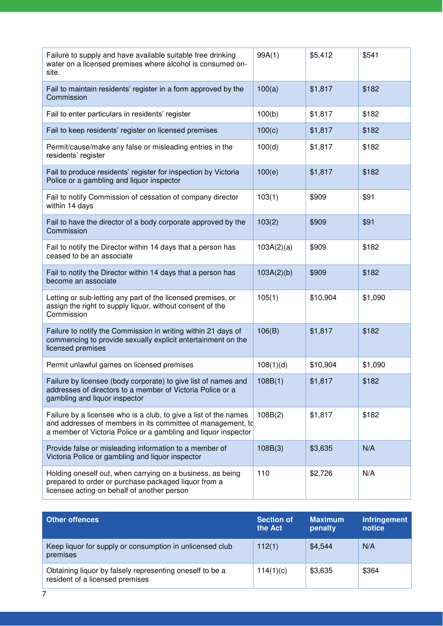| Failure to supply and have available suitable free drinking<br>water on a licensed premises where alcohol is consumed on-<br>site.                                                                | 99A(1)     | \$5,412  | \$541   |
|---------------------------------------------------------------------------------------------------------------------------------------------------------------------------------------------------|------------|----------|---------|
| Fail to maintain residents' register in a form approved by the<br>Commission                                                                                                                      | 100(a)     | \$1,817  | \$182   |
| Fail to enter particulars in residents' register                                                                                                                                                  | 100(b)     | \$1,817  | \$182   |
| Fail to keep residents' register on licensed premises                                                                                                                                             | 100(c)     | \$1,817  | \$182   |
| Permit/cause/make any false or misleading entries in the<br>residents' register                                                                                                                   | 100(d)     | \$1,817  | \$182   |
| Fail to produce residents' register for inspection by Victoria<br>Police or a gambling and liquor inspector                                                                                       | 100(e)     | \$1,817  | \$182   |
| Fail to notify Commission of cessation of company director<br>within 14 days                                                                                                                      | 103(1)     | \$909    | \$91    |
| Fail to have the director of a body corporate approved by the<br>Commission                                                                                                                       | 103(2)     | \$909    | \$91    |
| Fail to notify the Director within 14 days that a person has<br>ceased to be an associate                                                                                                         | 103A(2)(a) | \$909    | \$182   |
| Fail to notify the Director within 14 days that a person has<br>become an associate                                                                                                               | 103A(2)(b) | \$909    | \$182   |
| Letting or sub-letting any part of the licensed premises, or<br>assign the right to supply liquor, without consent of the<br>Commission                                                           | 105(1)     | \$10,904 | \$1,090 |
| Failure to notify the Commission in writing within 21 days of<br>commencing to provide sexually explicit entertainment on the<br>licensed premises                                                | 106(B)     | \$1,817  | \$182   |
| Permit unlawful games on licensed premises                                                                                                                                                        | 108(1)(d)  | \$10,904 | \$1,090 |
| Failure by licensee (body corporate) to give list of names and<br>addresses of directors to a member of Victoria Police or a<br>gambling and liquor inspector                                     | 108B(1)    | \$1,817  | \$182   |
| Failure by a licensee who is a club, to give a list of the names<br>and addresses of members in its committee of management, to<br>a member of Victoria Police or a gambling and liquor inspector | 108B(2)    | \$1,817  | \$182   |
| Provide false or misleading information to a member of<br>Victoria Police or gambling and liquor inspector                                                                                        | 108B(3)    | \$3,635  | N/A     |
| Holding oneself out, when carrying on a business, as being<br>prepared to order or purchase packaged liquor from a<br>licensee acting on behalf of another person                                 | 110        | \$2,726  | N/A     |

| <b>Other offences</b>                                                                       | <b>Section of</b><br>the Act | <b>Maximum</b><br>penalty | Infringement<br>notice |
|---------------------------------------------------------------------------------------------|------------------------------|---------------------------|------------------------|
| Keep liquor for supply or consumption in unlicensed club<br>premises                        | 112(1)                       | \$4,544                   | N/A                    |
| Obtaining liquor by falsely representing oneself to be a<br>resident of a licensed premises | 114(1)(c)                    | \$3,635                   | \$364                  |